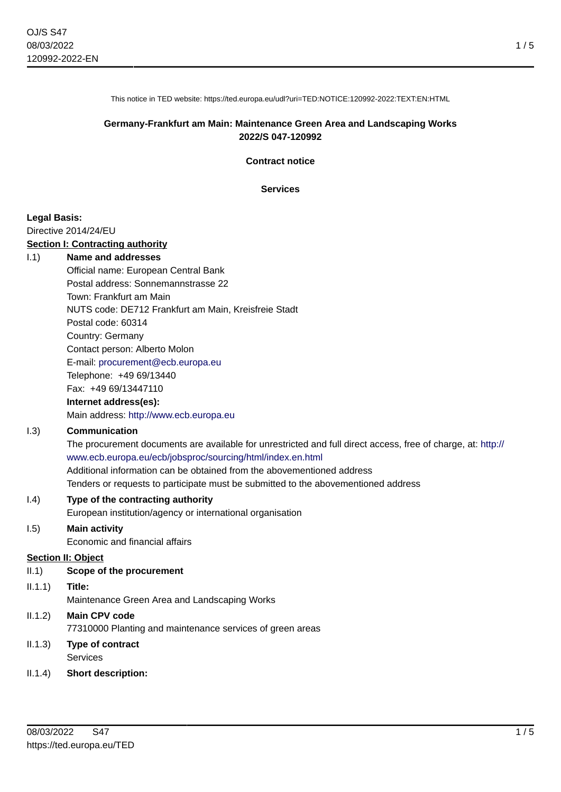1 / 5

This notice in TED website: https://ted.europa.eu/udl?uri=TED:NOTICE:120992-2022:TEXT:EN:HTML

### **Germany-Frankfurt am Main: Maintenance Green Area and Landscaping Works 2022/S 047-120992**

**Contract notice**

**Services**

### **Legal Basis:**

Directive 2014/24/EU

#### **Section I: Contracting authority**

#### I.1) **Name and addresses**

Official name: European Central Bank Postal address: Sonnemannstrasse 22 Town: Frankfurt am Main NUTS code: DE712 Frankfurt am Main, Kreisfreie Stadt Postal code: 60314 Country: Germany Contact person: Alberto Molon E-mail: [procurement@ecb.europa.eu](mailto:procurement@ecb.europa.eu) Telephone: +49 69/13440 Fax: +49 69/13447110

# **Internet address(es):**

Main address:<http://www.ecb.europa.eu>

### I.3) **Communication**

The procurement documents are available for unrestricted and full direct access, free of charge, at: [http://](http://www.ecb.europa.eu/ecb/jobsproc/sourcing/html/index.en.html) [www.ecb.europa.eu/ecb/jobsproc/sourcing/html/index.en.html](http://www.ecb.europa.eu/ecb/jobsproc/sourcing/html/index.en.html) Additional information can be obtained from the abovementioned address Tenders or requests to participate must be submitted to the abovementioned address

### I.4) **Type of the contracting authority**

European institution/agency or international organisation

### I.5) **Main activity**

Economic and financial affairs

#### **Section II: Object**

- II.1) **Scope of the procurement**
- II.1.1) **Title:**

Maintenance Green Area and Landscaping Works

# II.1.2) **Main CPV code** 77310000 Planting and maintenance services of green areas

- II.1.3) **Type of contract** Services
- II.1.4) **Short description:**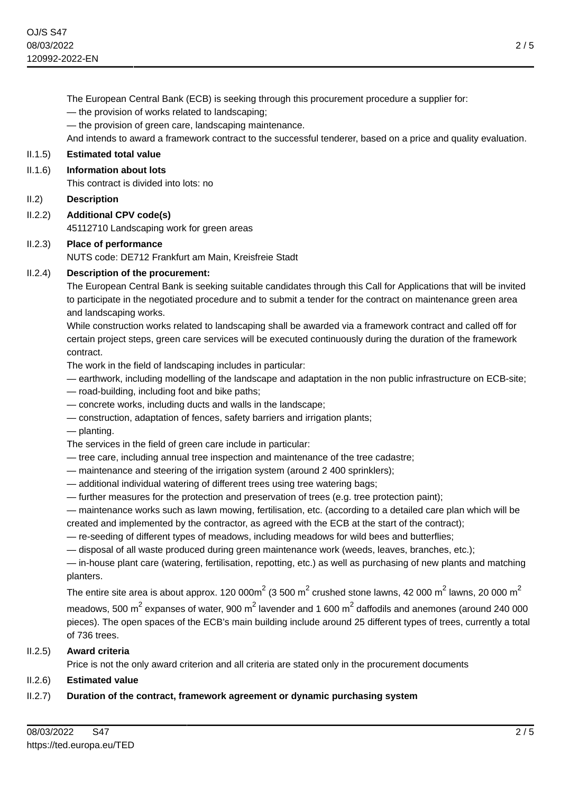The European Central Bank (ECB) is seeking through this procurement procedure a supplier for:

— the provision of works related to landscaping;

— the provision of green care, landscaping maintenance.

And intends to award a framework contract to the successful tenderer, based on a price and quality evaluation.

# II.1.5) **Estimated total value**

### II.1.6) **Information about lots**

This contract is divided into lots: no

### II.2) **Description**

II.2.2) **Additional CPV code(s)** 45112710 Landscaping work for green areas

# II.2.3) **Place of performance**

NUTS code: DE712 Frankfurt am Main, Kreisfreie Stadt

# II.2.4) **Description of the procurement:**

The European Central Bank is seeking suitable candidates through this Call for Applications that will be invited to participate in the negotiated procedure and to submit a tender for the contract on maintenance green area and landscaping works.

While construction works related to landscaping shall be awarded via a framework contract and called off for certain project steps, green care services will be executed continuously during the duration of the framework contract.

The work in the field of landscaping includes in particular:

- earthwork, including modelling of the landscape and adaptation in the non public infrastructure on ECB-site;
- road-building, including foot and bike paths;
- concrete works, including ducts and walls in the landscape;
- construction, adaptation of fences, safety barriers and irrigation plants;
- planting.
- The services in the field of green care include in particular:
- tree care, including annual tree inspection and maintenance of the tree cadastre;
- maintenance and steering of the irrigation system (around 2 400 sprinklers);
- additional individual watering of different trees using tree watering bags;
- further measures for the protection and preservation of trees (e.g. tree protection paint);

— maintenance works such as lawn mowing, fertilisation, etc. (according to a detailed care plan which will be created and implemented by the contractor, as agreed with the ECB at the start of the contract);

— re-seeding of different types of meadows, including meadows for wild bees and butterflies;

— disposal of all waste produced during green maintenance work (weeds, leaves, branches, etc.);

— in-house plant care (watering, fertilisation, repotting, etc.) as well as purchasing of new plants and matching planters.

The entire site area is about approx. 120 000m<sup>2</sup> (3 500 m<sup>2</sup> crushed stone lawns, 42 000 m<sup>2</sup> lawns, 20 000 m<sup>2</sup>

meadows, 500 m $^2$  expanses of water, 900 m $^2$  lavender and 1 600 m $^2$  daffodils and anemones (around 240 000 pieces). The open spaces of the ECB's main building include around 25 different types of trees, currently a total of 736 trees.

# II.2.5) **Award criteria**

Price is not the only award criterion and all criteria are stated only in the procurement documents

# II.2.6) **Estimated value**

# II.2.7) **Duration of the contract, framework agreement or dynamic purchasing system**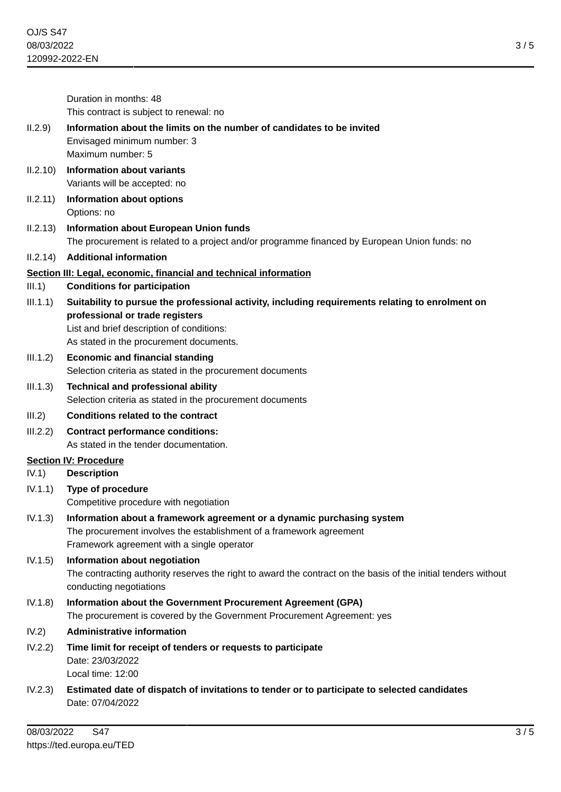|          | Duration in months: 48<br>This contract is subject to renewal: no                                                                                                                                                           |
|----------|-----------------------------------------------------------------------------------------------------------------------------------------------------------------------------------------------------------------------------|
| 11.2.9)  | Information about the limits on the number of candidates to be invited<br>Envisaged minimum number: 3<br>Maximum number: 5                                                                                                  |
| 11.2.10) | <b>Information about variants</b><br>Variants will be accepted: no                                                                                                                                                          |
| 11.2.11) | <b>Information about options</b><br>Options: no                                                                                                                                                                             |
| 11.2.13) | <b>Information about European Union funds</b><br>The procurement is related to a project and/or programme financed by European Union funds: no                                                                              |
| II.2.14) | <b>Additional information</b>                                                                                                                                                                                               |
| III.1)   | Section III: Legal, economic, financial and technical information<br><b>Conditions for participation</b>                                                                                                                    |
| III.1.1) | Suitability to pursue the professional activity, including requirements relating to enrolment on<br>professional or trade registers<br>List and brief description of conditions:<br>As stated in the procurement documents. |
| III.1.2) | <b>Economic and financial standing</b><br>Selection criteria as stated in the procurement documents                                                                                                                         |
| III.1.3) | <b>Technical and professional ability</b><br>Selection criteria as stated in the procurement documents                                                                                                                      |
| III.2)   | <b>Conditions related to the contract</b>                                                                                                                                                                                   |
| III.2.2) | <b>Contract performance conditions:</b><br>As stated in the tender documentation.                                                                                                                                           |
|          | <b>Section IV: Procedure</b>                                                                                                                                                                                                |
| IV.1)    | <b>Description</b>                                                                                                                                                                                                          |
| IV.1.1)  | Type of procedure<br>Competitive procedure with negotiation                                                                                                                                                                 |
| IV.1.3)  | Information about a framework agreement or a dynamic purchasing system<br>The procurement involves the establishment of a framework agreement<br>Framework agreement with a single operator                                 |
| IV.1.5)  | Information about negotiation<br>The contracting authority reserves the right to award the contract on the basis of the initial tenders without<br>conducting negotiations                                                  |
| IV.1.8)  | Information about the Government Procurement Agreement (GPA)<br>The procurement is covered by the Government Procurement Agreement: yes                                                                                     |
| IV.2)    | <b>Administrative information</b>                                                                                                                                                                                           |
| IV.2.2)  | Time limit for receipt of tenders or requests to participate<br>Date: 23/03/2022<br>Local time: 12:00                                                                                                                       |
| IV.2.3)  | Estimated date of dispatch of invitations to tender or to participate to selected candidates<br>Date: 07/04/2022                                                                                                            |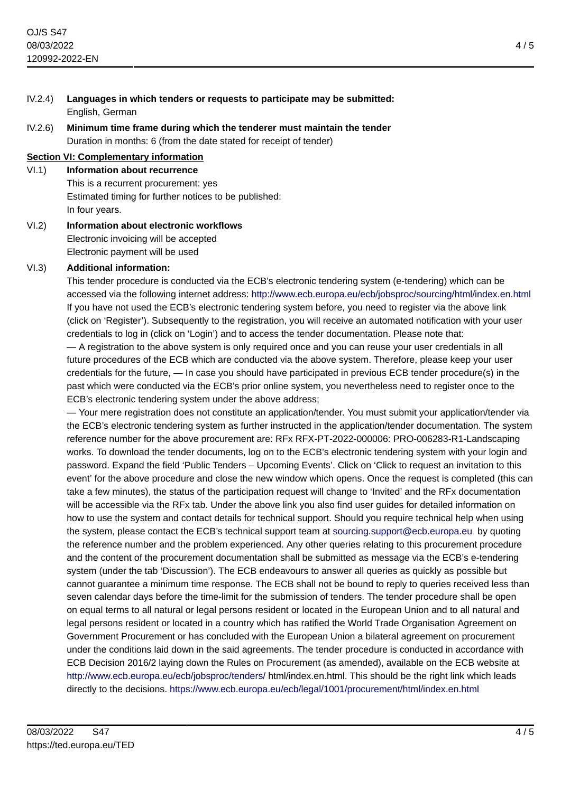- IV.2.4) **Languages in which tenders or requests to participate may be submitted:** English, German
- IV.2.6) **Minimum time frame during which the tenderer must maintain the tender** Duration in months: 6 (from the date stated for receipt of tender)

### **Section VI: Complementary information**

VI.1) **Information about recurrence** This is a recurrent procurement: yes Estimated timing for further notices to be published: In four years.

VI.2) **Information about electronic workflows** Electronic invoicing will be accepted Electronic payment will be used

# VI.3) **Additional information:**

This tender procedure is conducted via the ECB's electronic tendering system (e-tendering) which can be accessed via the following internet address: <http://www.ecb.europa.eu/ecb/jobsproc/sourcing/html/index.en.html> If you have not used the ECB's electronic tendering system before, you need to register via the above link (click on 'Register'). Subsequently to the registration, you will receive an automated notification with your user credentials to log in (click on 'Login') and to access the tender documentation. Please note that:

— A registration to the above system is only required once and you can reuse your user credentials in all future procedures of the ECB which are conducted via the above system. Therefore, please keep your user credentials for the future, — In case you should have participated in previous ECB tender procedure(s) in the past which were conducted via the ECB's prior online system, you nevertheless need to register once to the ECB's electronic tendering system under the above address;

— Your mere registration does not constitute an application/tender. You must submit your application/tender via the ECB's electronic tendering system as further instructed in the application/tender documentation. The system reference number for the above procurement are: RFx RFX-PT-2022-000006: PRO-006283-R1-Landscaping works. To download the tender documents, log on to the ECB's electronic tendering system with your login and password. Expand the field 'Public Tenders – Upcoming Events'. Click on 'Click to request an invitation to this event' for the above procedure and close the new window which opens. Once the request is completed (this can take a few minutes), the status of the participation request will change to 'Invited' and the RFx documentation will be accessible via the RFx tab. Under the above link you also find user guides for detailed information on how to use the system and contact details for technical support. Should you require technical help when using the system, please contact the ECB's technical support team at [sourcing.support@ecb.europa.eu](mailto:sourcing.support@ecb.europa.eu) by quoting the reference number and the problem experienced. Any other queries relating to this procurement procedure and the content of the procurement documentation shall be submitted as message via the ECB's e-tendering system (under the tab 'Discussion'). The ECB endeavours to answer all queries as quickly as possible but cannot guarantee a minimum time response. The ECB shall not be bound to reply to queries received less than seven calendar days before the time-limit for the submission of tenders. The tender procedure shall be open on equal terms to all natural or legal persons resident or located in the European Union and to all natural and legal persons resident or located in a country which has ratified the World Trade Organisation Agreement on Government Procurement or has concluded with the European Union a bilateral agreement on procurement under the conditions laid down in the said agreements. The tender procedure is conducted in accordance with ECB Decision 2016/2 laying down the Rules on Procurement (as amended), available on the ECB website at <http://www.ecb.europa.eu/ecb/jobsproc/tenders/>html/index.en.html. This should be the right link which leads directly to the decisions.<https://www.ecb.europa.eu/ecb/legal/1001/procurement/html/index.en.html>